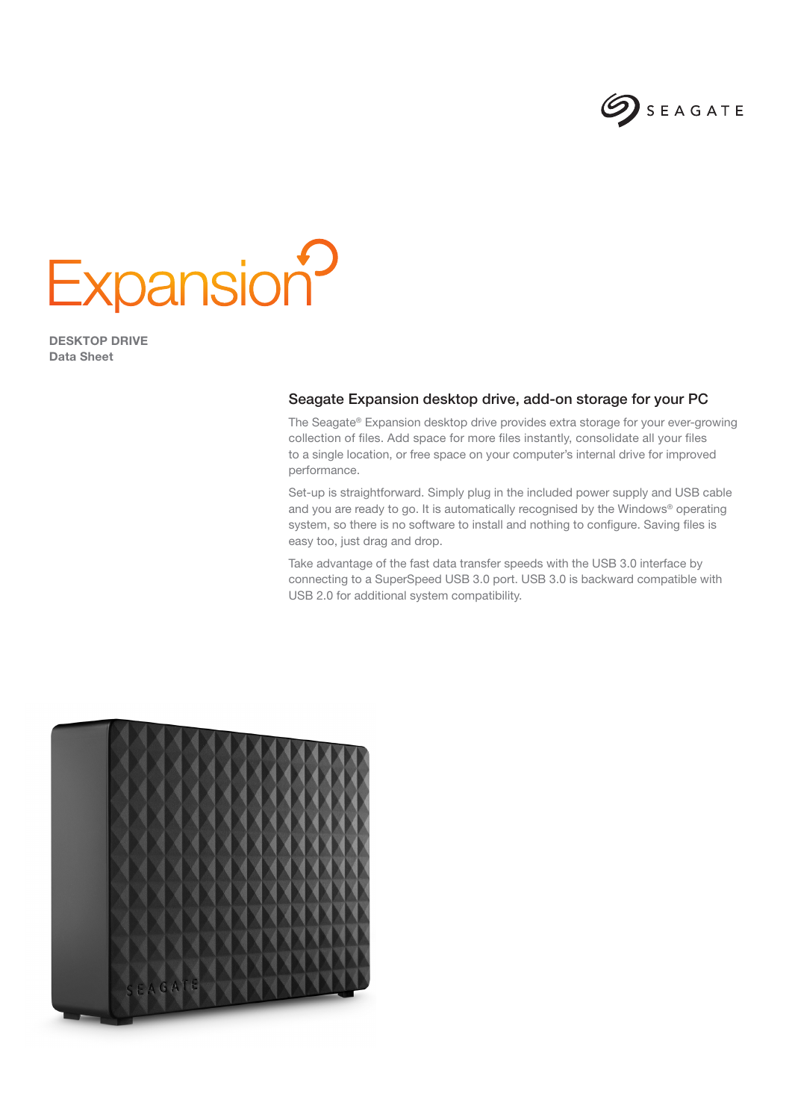

## **Expansion?**

DESKTOP DRIVE Data Sheet

## Seagate Expansion desktop drive, add-on storage for your PC

The Seagate® Expansion desktop drive provides extra storage for your ever-growing collection of files. Add space for more files instantly, consolidate all your files to a single location, or free space on your computer's internal drive for improved performance.

Set-up is straightforward. Simply plug in the included power supply and USB cable and you are ready to go. It is automatically recognised by the Windows® operating system, so there is no software to install and nothing to configure. Saving files is easy too, just drag and drop.

Take advantage of the fast data transfer speeds with the USB 3.0 interface by connecting to a SuperSpeed USB 3.0 port. USB 3.0 is backward compatible with USB 2.0 for additional system compatibility.